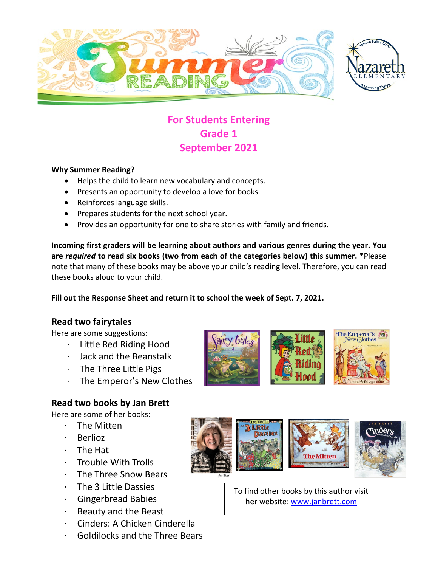

# **For Students Entering Grade 1 September 2021**

#### **Why Summer Reading?**

- Helps the child to learn new vocabulary and concepts.
- Presents an opportunity to develop a love for books.
- Reinforces language skills.
- Prepares students for the next school year.
- Provides an opportunity for one to share stories with family and friends.

**Incoming first graders will be learning about authors and various genres during the year. You are** *required* **to read six books (two from each of the categories below) this summer.** \*Please note that many of these books may be above your child's reading level. Therefore, you can read these books aloud to your child.

**Fill out the Response Sheet and return it to school the week of Sept. 7, 2021.** 

#### **Read two fairytales**

Here are some suggestions:

- · Little Red Riding Hood
- · Jack and the Beanstalk
- · The Three Little Pigs
- · The Emperor's New Clothes

### **Read two books by Jan Brett**

Here are some of her books:

- The Mitten
- **Berlioz**
- · The Hat
- · Trouble With Trolls
- · The Three Snow Bears
- · The 3 Little Dassies
- · Gingerbread Babies
- · Beauty and the Beast
- · Cinders: A Chicken Cinderella
- · Goldilocks and the Three Bears









To find other books by this author visit her website: [www.janbrett.com](http://www.janbrett.com/)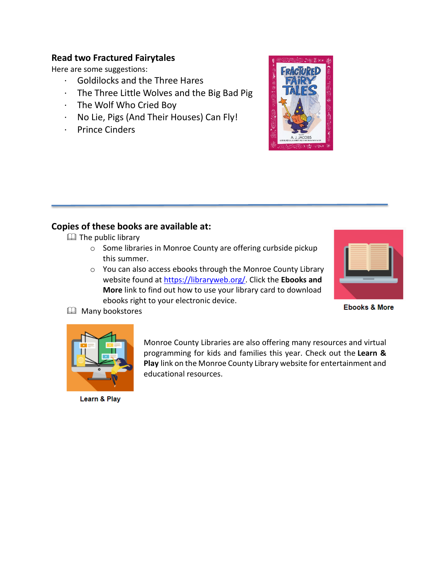#### **Read two Fractured Fairytales**

Here are some suggestions:

- · Goldilocks and the Three Hares
- · The Three Little Wolves and the Big Bad Pig
- · The Wolf Who Cried Boy
- · No Lie, Pigs (And Their Houses) Can Fly!
- · Prince Cinders



### **Copies of these books are available at:**

**EQ** The public library

- o Some libraries in Monroe County are offering curbside pickup this summer.
- o You can also access ebooks through the Monroe County Library website found at [https://libraryweb.org/.](https://libraryweb.org/) Click the **Ebooks and More** link to find out how to use your library card to download ebooks right to your electronic device.



**Ebooks & More** 





programming for kids and families this year. Check out the **Learn & Play** link on the Monroe County Library website for entertainment and educational resources.

Monroe County Libraries are also offering many resources and virtual

Learn & Play